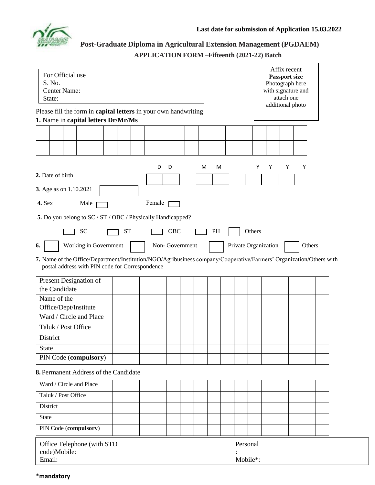

**Post-Graduate Diploma in Agricultural Extension Management (PGDAEM) APPLICATION FORM –Fifteenth (2021-22) Batch**

| For Official use<br>S. No.<br>Center Name:<br>State:                                                                                                                   |           |  |        |                |  |   |          |  | Affix recent<br><b>Passport size</b><br>Photograph here<br>with signature and<br>attach one<br>additional photo |        |   |   |  |        |  |  |
|------------------------------------------------------------------------------------------------------------------------------------------------------------------------|-----------|--|--------|----------------|--|---|----------|--|-----------------------------------------------------------------------------------------------------------------|--------|---|---|--|--------|--|--|
| Please fill the form in capital letters in your own handwriting<br>1. Name in capital letters Dr/Mr/Ms                                                                 |           |  |        |                |  |   |          |  |                                                                                                                 |        |   |   |  |        |  |  |
|                                                                                                                                                                        |           |  |        |                |  |   |          |  |                                                                                                                 |        |   |   |  |        |  |  |
|                                                                                                                                                                        |           |  |        |                |  |   |          |  |                                                                                                                 |        |   |   |  |        |  |  |
|                                                                                                                                                                        |           |  |        |                |  |   |          |  |                                                                                                                 |        |   |   |  |        |  |  |
| 2. Date of birth                                                                                                                                                       |           |  | D      | D              |  | М | M        |  |                                                                                                                 | Y      | Y | Υ |  | Y      |  |  |
| 3. Age as on 1.10.2021                                                                                                                                                 |           |  |        |                |  |   |          |  |                                                                                                                 |        |   |   |  |        |  |  |
| 4. Sex<br>Male                                                                                                                                                         |           |  | Female |                |  |   |          |  |                                                                                                                 |        |   |   |  |        |  |  |
| 5. Do you belong to SC / ST / OBC / Physically Handicapped?                                                                                                            |           |  |        |                |  |   |          |  |                                                                                                                 |        |   |   |  |        |  |  |
| <b>SC</b>                                                                                                                                                              | <b>ST</b> |  |        | OBC            |  |   | PH       |  |                                                                                                                 | Others |   |   |  |        |  |  |
| Working in Government<br>6.                                                                                                                                            |           |  |        | Non-Government |  |   |          |  | Private Organization                                                                                            |        |   |   |  | Others |  |  |
| 7. Name of the Office/Department/Institution/NGO/Agribusiness company/Cooperative/Farmers' Organization/Others with<br>postal address with PIN code for Correspondence |           |  |        |                |  |   |          |  |                                                                                                                 |        |   |   |  |        |  |  |
| Present Designation of                                                                                                                                                 |           |  |        |                |  |   |          |  |                                                                                                                 |        |   |   |  |        |  |  |
| the Candidate                                                                                                                                                          |           |  |        |                |  |   |          |  |                                                                                                                 |        |   |   |  |        |  |  |
| Name of the                                                                                                                                                            |           |  |        |                |  |   |          |  |                                                                                                                 |        |   |   |  |        |  |  |
| Office/Dept/Institute<br>Ward / Circle and Place                                                                                                                       |           |  |        |                |  |   |          |  |                                                                                                                 |        |   |   |  |        |  |  |
| Taluk / Post Office                                                                                                                                                    |           |  |        |                |  |   |          |  |                                                                                                                 |        |   |   |  |        |  |  |
| District                                                                                                                                                               |           |  |        |                |  |   |          |  |                                                                                                                 |        |   |   |  |        |  |  |
| <b>State</b>                                                                                                                                                           |           |  |        |                |  |   |          |  |                                                                                                                 |        |   |   |  |        |  |  |
| PIN Code (compulsory)                                                                                                                                                  |           |  |        |                |  |   |          |  |                                                                                                                 |        |   |   |  |        |  |  |
| 8. Permanent Address of the Candidate                                                                                                                                  |           |  |        |                |  |   |          |  |                                                                                                                 |        |   |   |  |        |  |  |
| Ward / Circle and Place                                                                                                                                                |           |  |        |                |  |   |          |  |                                                                                                                 |        |   |   |  |        |  |  |
| Taluk / Post Office                                                                                                                                                    |           |  |        |                |  |   |          |  |                                                                                                                 |        |   |   |  |        |  |  |
| District                                                                                                                                                               |           |  |        |                |  |   |          |  |                                                                                                                 |        |   |   |  |        |  |  |
| <b>State</b>                                                                                                                                                           |           |  |        |                |  |   |          |  |                                                                                                                 |        |   |   |  |        |  |  |
| PIN Code (compulsory)                                                                                                                                                  |           |  |        |                |  |   |          |  |                                                                                                                 |        |   |   |  |        |  |  |
| Office Telephone (with STD<br>code)Mobile:                                                                                                                             |           |  |        |                |  |   | Personal |  |                                                                                                                 |        |   |   |  |        |  |  |
| Email:                                                                                                                                                                 |           |  |        |                |  |   |          |  | Mobile*:                                                                                                        |        |   |   |  |        |  |  |